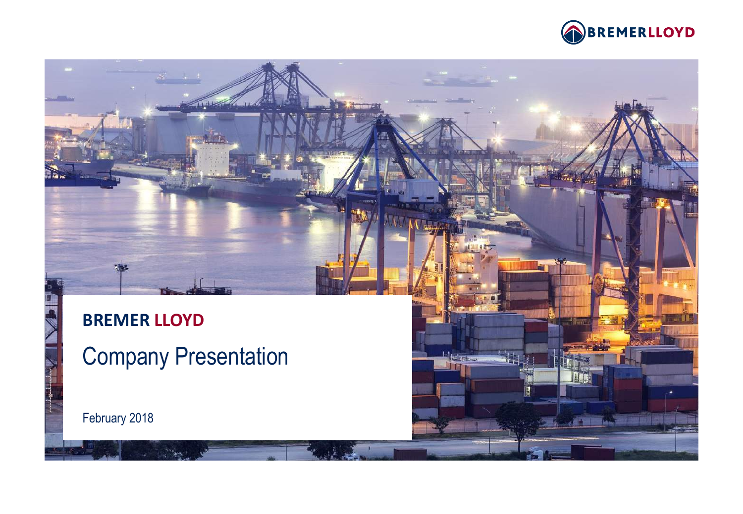

 $\mathbb{L}_{\text{lab}}$ 

# **BREMER LLOYD**

Company Presentation

February 2018

**LA TION**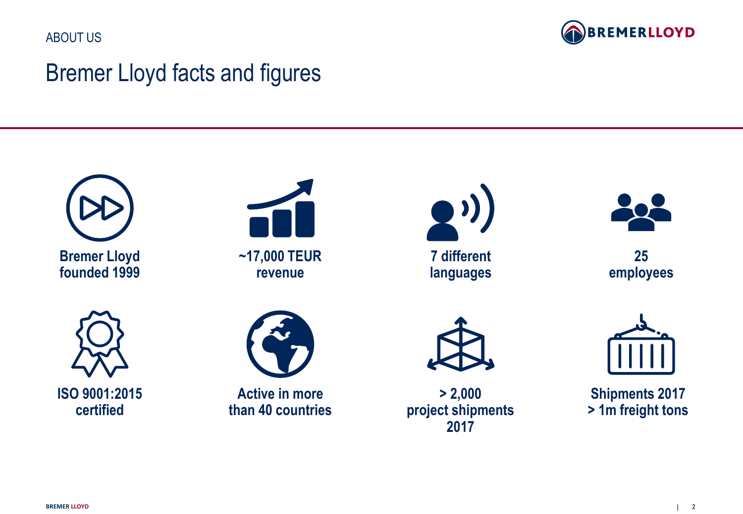ABOUT US



### Bremer Lloyd facts and figures







**7 different languages**



**25 employees**





**Active in more than 40 countries**

**> 2,000 project shipments 2017** 



**Shipments 2017 > 1m freight tons**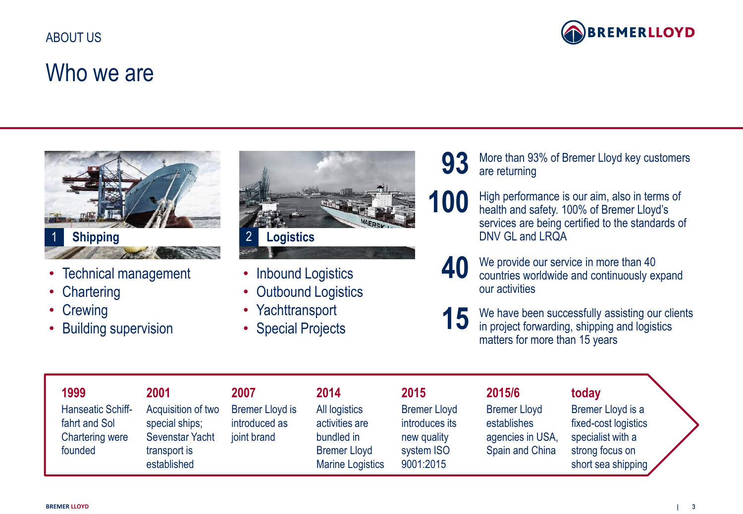

### Who we are



- Technical management
- Chartering
- Crewing
- Building supervision



- Inbound Logistics
- Outbound Logistics
- Yachttransport
- Special Projects
- **93** More than 93% of Bremer Lloyd key customers are returning are returning
- 100 High performance is our aim, also in terms of health and safety. 100% of Bremer Lloyd's services are being certified to the standards of DNV GL and LRQA
	- **40** We provide our service in more than 40 countries worldwide and continuously expand our activities
	- **15** We have been successfully assisting our clients in project forwarding shipping and logistics in project forwarding, shipping and logistics matters for more than 15 years

| 1999                       | 2001                                           | 2007                   | 2014                                                         | 2015                                   | 2015/6                              | today                                                      |  |
|----------------------------|------------------------------------------------|------------------------|--------------------------------------------------------------|----------------------------------------|-------------------------------------|------------------------------------------------------------|--|
| Hanseatic Schiff-          | Acquisition of two                             | <b>Bremer Lloyd is</b> | All logistics                                                | <b>Bremer Lloyd</b>                    | <b>Bremer Lloyd</b>                 | Bremer Lloyd is a                                          |  |
| fahrt and Sol              | special ships;                                 | introduced as          | activities are                                               | introduces its                         | establishes                         | fixed-cost logistics                                       |  |
| Chartering were<br>founded | Sevenstar Yacht<br>transport is<br>established | joint brand            | bundled in<br><b>Bremer Lloyd</b><br><b>Marine Logistics</b> | new quality<br>system ISO<br>9001:2015 | agencies in USA,<br>Spain and China | specialist with a<br>strong focus on<br>short sea shipping |  |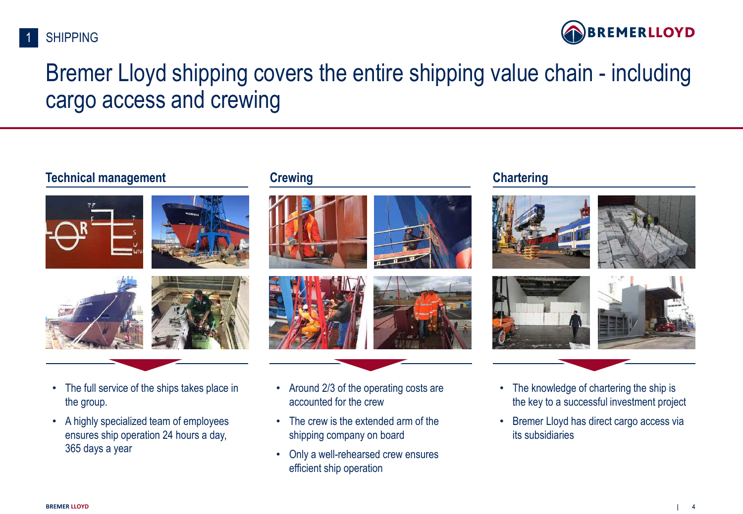



### Bremer Lloyd shipping covers the entire shipping value chain - including cargo access and crewing

#### **Technical management Crewing Crewing Chartering**

















- The full service of the ships takes place in the group.
- A highly specialized team of employees ensures ship operation 24 hours a day, 365 days a year
- Around 2/3 of the operating costs are accounted for the crew
- The crew is the extended arm of the shipping company on board
- Only a well-rehearsed crew ensures efficient ship operation
- The knowledge of chartering the ship is the key to a successful investment project
- Bremer Lloyd has direct cargo access via its subsidiaries

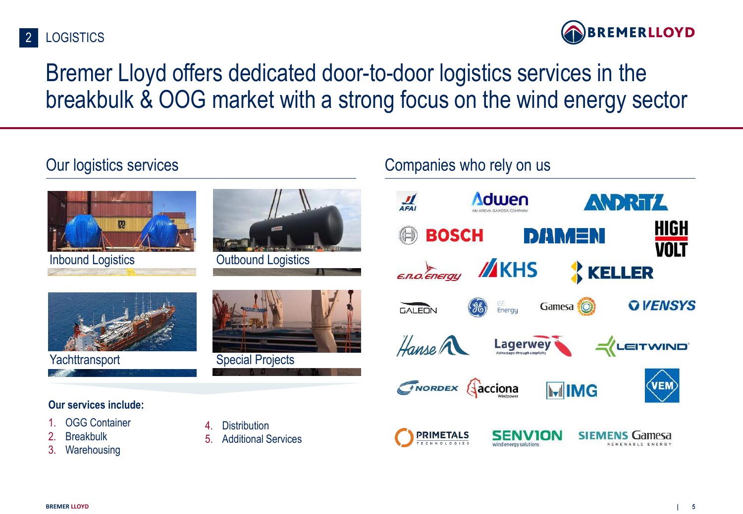



## Bremer Lloyd offers dedicated door-to-door logistics services in the breakbulk & OOG market with a strong focus on the wind energy sector

Companies who rely on us

### Our logistics services

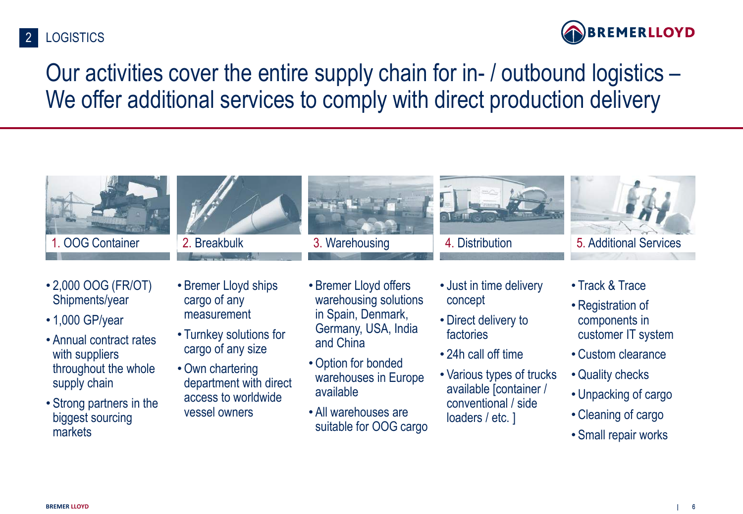#### **LOGISTICS** 2



Our activities cover the entire supply chain for in- / outbound logistics – We offer additional services to comply with direct production delivery

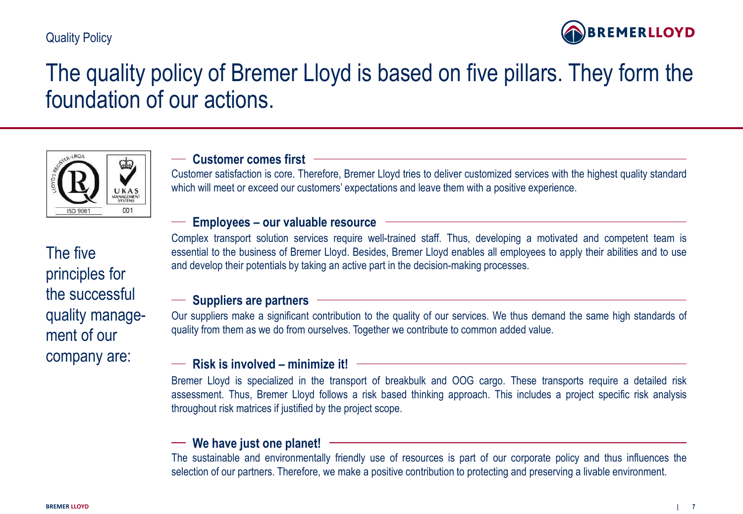#### Quality Policy



### The quality policy of Bremer Lloyd is based on five pillars. They form the foundation of our actions.



#### **Customer comes first**

Customer satisfaction is core. Therefore, Bremer Lloyd tries to deliver customized services with the highest quality standard which will meet or exceed our customers' expectations and leave them with a positive experience.

#### **Employees – our valuable resource**

Complex transport solution services require well-trained staff. Thus, developing a motivated and competent team is essential to the business of Bremer Lloyd. Besides, Bremer Lloyd enables all employees to apply their abilities and to use and develop their potentials by taking an active part in the decision-making processes.

#### **Suppliers are partners**

Our suppliers make a significant contribution to the quality of our services. We thus demand the same high standards of quality from them as we do from ourselves. Together we contribute to common added value.

#### **Risk is involved – minimize it!**

Bremer Lloyd is specialized in the transport of breakbulk and OOG cargo. These transports require a detailed risk assessment. Thus, Bremer Lloyd follows a risk based thinking approach. This includes a project specific risk analysis throughout risk matrices if justified by the project scope.

#### **We have just one planet!**

The sustainable and environmentally friendly use of resources is part of our corporate policy and thus influences the selection of our partners. Therefore, we make a positive contribution to protecting and preserving a livable environment.

The five principles for the successful quality management of our company are: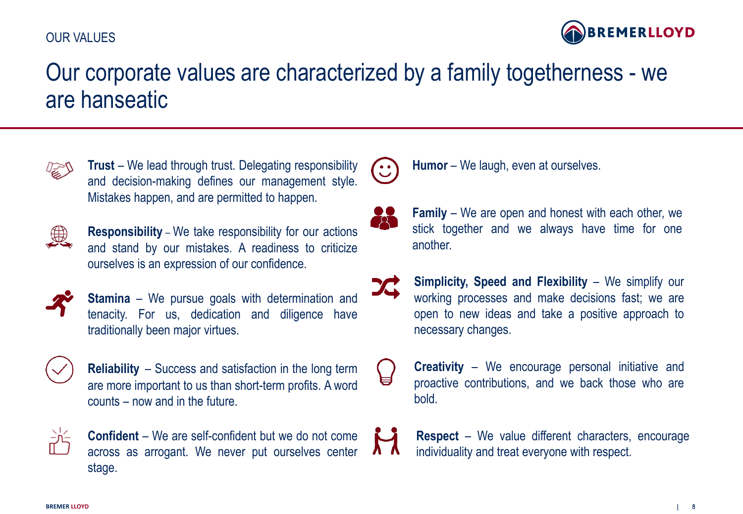### OUR VALUES



### Our corporate values are characterized by a family togetherness - we are hanseatic



**Trust** – We lead through trust. Delegating responsibility and decision-making defines our management style. Mistakes happen, and are permitted to happen.



**Responsibility** – We take responsibility for our actions and stand by our mistakes. A readiness to criticize ourselves is an expression of our confidence.



**Stamina** – We pursue goals with determination and tenacity. For us, dedication and diligence have traditionally been major virtues.



**Reliability** – Success and satisfaction in the long term are more important to us than short-term profits. A word counts – now and in the future.



**Confident** – We are self-confident but we do not come across as arrogant. We never put ourselves center stage.



**Humor** – We laugh, even at ourselves.



**Family** – We are open and honest with each other, we stick together and we always have time for one another.

**Simplicity, Speed and Flexibility** – We simplify our working processes and make decisions fast; we are open to new ideas and take a positive approach to necessary changes.



**Creativity** – We encourage personal initiative and proactive contributions, and we back those who are bold.

**Respect** – We value different characters, encourage individuality and treat everyone with respect.